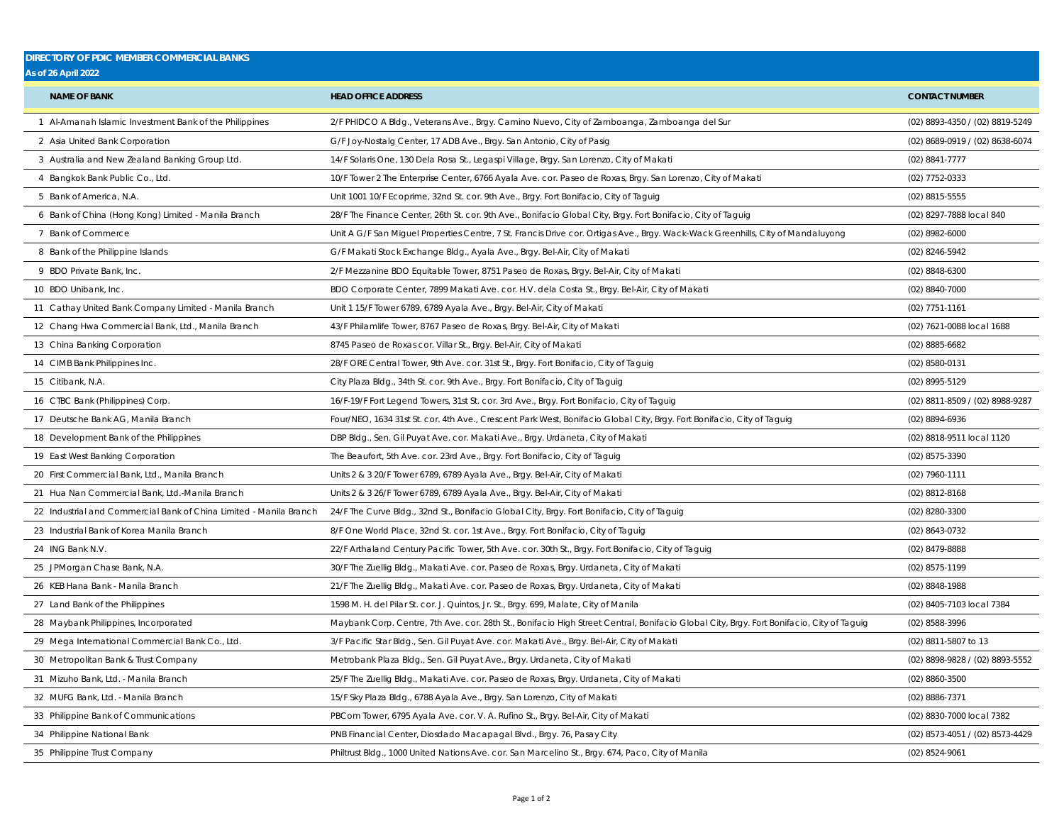## **DIRECTORY OF PDIC MEMBER COMMERCIAL BANKS As of 26 April 2022** Al-Amanah Islamic Investment Bank of the Philippines 2/F PHIDCO A Bldg., Veterans Ave., Brgy. Camino Nuevo, City of Zamboanga, Zamboanga del Sur (02) 8893-4350 / (02) 8819-5249 2 Asia United Bank Corporation **G/F Joy-Nostalg Center, 17 ADB Ave.**, Brgy. San Antonio, City of Pasig (02) 8689-0919 / (02) 8689-0919 / (02) 8638-6074 Australia and New Zealand Banking Group Ltd. 14/F Solaris One, 130 Dela Rosa St., Legaspi Village, Brgy. San Lorenzo, City of Makati (02) 8841-7777 Bangkok Bank Public Co., Ltd. 10/F Tower 2 The Enterprise Center, 6766 Ayala Ave. cor. Paseo de Roxas, Brgy. San Lorenzo, City of Makati (02) 7752-0333 Bank of America, N.A. Unit 1001 10/F Ecoprime, 32nd St. cor. 9th Ave., Brgy. Fort Bonifacio, City of Taguig (02) 8815-5555 Bank of China (Hong Kong) Limited - Manila Branch 28/F The Finance Center, 26th St. cor. 9th Ave., Bonifacio Global City, Brgy. Fort Bonifacio, City of Taguig (02) 8297-7888 local 840 Bank of Commerce Unit A G/F San Miguel Properties Centre, 7 St. Francis Drive cor. Ortigas Ave., Brgy. Wack-Wack Greenhills, City of Mandaluyong (02) 8982-6000 8 Bank of the Philippine Islands (02) 8246-5942 G/F Makati Stock Exchange Bldg., Ayala Ave., Brgy. Bel-Air, City of Makati (02) 8246-5942 (02) 8246-5942 BDO Private Bank, Inc. 2/F Mezzanine BDO Equitable Tower, 8751 Paseo de Roxas, Brgy. Bel-Air, City of Makati (02) 8848-6300 BDO Unibank, Inc. BDO Corporate Center, 7899 Makati Ave. cor. H.V. dela Costa St., Brgy. Bel-Air, City of Makati (02) 8840-7000 Cathay United Bank Company Limited - Manila Branch Unit 1 15/F Tower 6789, 6789 Ayala Ave., Brgy. Bel-Air, City of Makati (02) 7751-1161 12 Chang Hwa Commercial Bank, Ltd., Manila Branch 43/F Philamlife Tower, 8767 Paseo de Roxas, Brgy. Bel-Air, City of Makati (02) 7621-0088 local 1688 China Banking Corporation 8745 Paseo de Roxas cor. Villar St., Brgy. Bel-Air, City of Makati (02) 8885-6682 CIMB Bank Philippines Inc. 28/F ORE Central Tower, 9th Ave. cor. 31st St., Brgy. Fort Bonifacio, City of Taguig (02) 8580-0131 Citibank, N.A. City Plaza Bldg., 34th St. cor. 9th Ave., Brgy. Fort Bonifacio, City of Taguig (02) 8995-5129 CTBC Bank (Philippines) Corp. 16/F-19/F Fort Legend Towers, 31st St. cor. 3rd Ave., Brgy. Fort Bonifacio, City of Taguig (02) 8811-8509 / (02) 8988-9287 17 Deutsche Bank AG, Manila Branch Franch Four/NEO, 1634 31st St. cor. 4th Ave., Crescent Park West, Bonifacio Global City, Brgy. Fort Bonifacio, City of Taguig (02) 8894-6936 Development Bank of the Philippines DBP Bldg., Sen. Gil Puyat Ave. cor. Makati Ave., Brgy. Urdaneta, City of Makati (02) 8818-9511 local 1120 East West Banking Corporation The Beaufort, 5th Ave. cor. 23rd Ave., Brgy. Fort Bonifacio, City of Taguig (02) 8575-3390 First Commercial Bank, Ltd., Manila Branch Units 2 & 3 20/F Tower 6789, 6789 Ayala Ave., Brgy. Bel-Air, City of Makati (02) 7960-1111 21 Hua Nan Commercial Bank, Ltd.-Manila Branch Units 2 & 3 26/F Tower 6789, 6789 Ayala Ave., Brgy. Bel-Air, City of Makati (02) 8812-8168 22 Industrial and Commercial Bank of China Limited - Manila Branch 24/F The Curve Bldg., 32nd St., Bonifacio Global City, Brgy. Fort Bonifacio, City of Taguig (02) 8280-3300 (02) 8280-3300 Industrial Bank of Korea Manila Branch 8/F One World Place, 32nd St. cor. 1st Ave., Brgy. Fort Bonifacio, City of Taguig (02) 8643-0732 ING Bank N.V. 22/F Arthaland Century Pacific Tower, 5th Ave. cor. 30th St., Brgy. Fort Bonifacio, City of Taguig (02) 8479-8888 JPMorgan Chase Bank, N.A. 30/F The Zuellig Bldg., Makati Ave. cor. Paseo de Roxas, Brgy. Urdaneta, City of Makati (02) 8575-1199 KEB Hana Bank - Manila Branch 21/F The Zuellig Bldg., Makati Ave. cor. Paseo de Roxas, Brgy. Urdaneta, City of Makati (02) 8848-1988 27 Land Bank of the Philippines 2015 7384 M. H. del Pilar St. cor. J. Quintos, Jr. St., Brgy. 699, Malate, City of Manila (02) 8405-7103 local 7384 Maybank Philippines, Incorporated Maybank Corp. Centre, 7th Ave. cor. 28th St., Bonifacio High Street Central, Bonifacio Global City, Brgy. Fort Bonifacio, City of Taguig (02) 8588-3996 29 Mega International Commercial Bank Co., Ltd. 3/F Pacific Star Bldg., Sen. Gil Puyat Ave. cor. Makati Ave., Brgy. Bel-Air, City of Makati (02) 8811-5807 to 13 30 Metropolitan Bank & Trust Company enterces and the Metrobank Plaza Bldg., Sen. Gil Puyat Ave., Brgy. Urdaneta, City of Makati (12) 8898-9828 / (02) 8898-9828 / (02) 8893-5552 Mizuho Bank, Ltd. - Manila Branch 25/F The Zuellig Bldg., Makati Ave. cor. Paseo de Roxas, Brgy. Urdaneta, City of Makati (02) 8860-3500 32 MUFG Bank, Ltd. - Manila Branch (02) 8886-7371 (22) 8886-7371 15/F Sky Plaza Bldg., 6788 Ayala Ave., Brgy. San Lorenzo, City of Makati 33 Philippine Bank of Communications examples and the Communications and the PBCom Tower, 6795 Ayala Ave. cor. V. A. Rufino St., Brgy. Bel-Air, City of Makati (02) 8830-7000 local 7382 **NAME OF BANK HEAD OFFICE ADDRESS CONTACT NUMBER**

Philippine National Bank PNB Financial Center, Diosdado Macapagal Blvd., Brgy. 76, Pasay City (02) 8573-4051 / (02) 8573-4429

Philippine Trust Company Philtrust Bldg., 1000 United Nations Ave. cor. San Marcelino St., Brgy. 674, Paco, City of Manila (02) 8524-9061